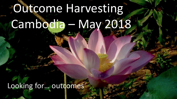# Outcome Harvesting Cambodia – May 2018

Looking for… outcomes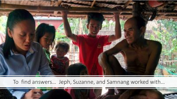

To find answers… Jeph, Suzanne, and Samnang worked with…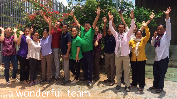a wonderful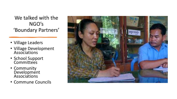We talked with the NGO's 'Boundary Partners'

- Village Leaders
- Village Development Associations
- School Support **Committees**
- Community Development Associations
- Commune Councils

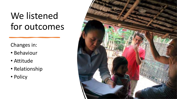## We listened for outcomes

#### Changes in:

- Behaviour
- Attitude
- Relationship
- Policy

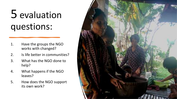## 5 evaluation questions:

- 1. Have the groups the NGO works with changed?
- 2. Is life better in communities?
- 3. What has the NGO done to help?
- 4. What happens if the NGO leaves?
- 5. How does the NGO support its own work?

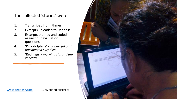#### The collected 'stories' were…

- 1. Transcribed from Khmer
- 2. Excerpts uploaded to Dedoose
- 3. Excerpts themed and coded against our evaluation questions
- 4. 'Pink dolphins' *wonderful and unexpected surprises*
- 5. 'Red flags' *warning signs, deep concern*

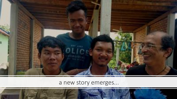

### a new story emerges...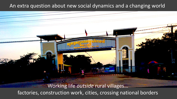#### An extra question about new social dynamics and a changing world

Working life *outside* rural villages… factories, construction work, cities, crossing national borders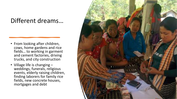### Different dreams…

- From looking after children, cows, home gardens and rice fields… to working in garment and cement factories, driving trucks, and city construction
- Village life is changing weddings, funerals, religious events, elderly raising children, finding laborers for family rice fields, new concrete houses, mortgages and debt